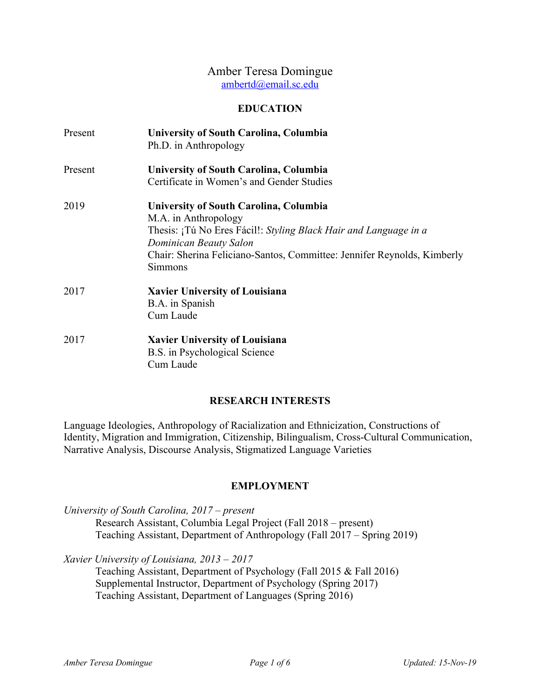# Amber Teresa Domingue ambertd@email.sc.edu

### **EDUCATION**

| Present | University of South Carolina, Columbia<br>Ph.D. in Anthropology                                                                                                                                                                                    |
|---------|----------------------------------------------------------------------------------------------------------------------------------------------------------------------------------------------------------------------------------------------------|
| Present | <b>University of South Carolina, Columbia</b><br>Certificate in Women's and Gender Studies                                                                                                                                                         |
| 2019    | University of South Carolina, Columbia<br>M.A. in Anthropology<br>Thesis: ¡Tú No Eres Fácil!: Styling Black Hair and Language in a<br>Dominican Beauty Salon<br>Chair: Sherina Feliciano-Santos, Committee: Jennifer Reynolds, Kimberly<br>Simmons |
| 2017    | <b>Xavier University of Louisiana</b><br>B.A. in Spanish<br>Cum Laude                                                                                                                                                                              |
| 2017    | <b>Xavier University of Louisiana</b><br>B.S. in Psychological Science<br>Cum Laude                                                                                                                                                                |

# **RESEARCH INTERESTS**

Language Ideologies, Anthropology of Racialization and Ethnicization, Constructions of Identity, Migration and Immigration, Citizenship, Bilingualism, Cross-Cultural Communication, Narrative Analysis, Discourse Analysis, Stigmatized Language Varieties

# **EMPLOYMENT**

*University of South Carolina, 2017 – present*  Research Assistant, Columbia Legal Project (Fall 2018 – present) Teaching Assistant, Department of Anthropology (Fall 2017 – Spring 2019)

Teaching Assistant, Department of Psychology (Fall 2015 & Fall 2016) Supplemental Instructor, Department of Psychology (Spring 2017) Teaching Assistant, Department of Languages (Spring 2016)

*Xavier University of Louisiana, 2013 – 2017*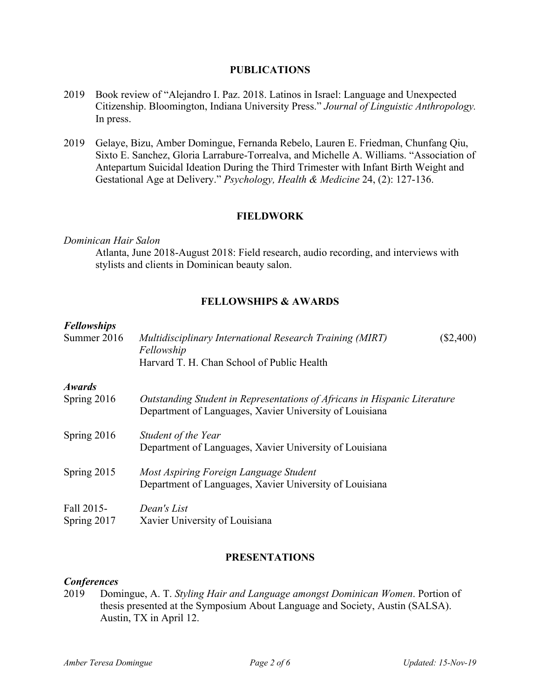#### **PUBLICATIONS**

- 2019 Book review of "Alejandro I. Paz. 2018. Latinos in Israel: Language and Unexpected Citizenship. Bloomington, Indiana University Press." *Journal of Linguistic Anthropology.*  In press.
- 2019 Gelaye, Bizu, Amber Domingue, Fernanda Rebelo, Lauren E. Friedman, Chunfang Qiu, Sixto E. Sanchez, Gloria Larrabure-Torrealva, and Michelle A. Williams. "Association of Antepartum Suicidal Ideation During the Third Trimester with Infant Birth Weight and Gestational Age at Delivery." *Psychology, Health & Medicine* 24, (2): 127-136.

# **FIELDWORK**

#### *Dominican Hair Salon*

Atlanta, June 2018-August 2018: Field research, audio recording, and interviews with stylists and clients in Dominican beauty salon.

# **FELLOWSHIPS & AWARDS**

#### *Fellowships*

| 1 CHUIVSHIPS<br>Summer 2016  | Multidisciplinary International Research Training (MIRT)<br>Fellowship<br>Harvard T. H. Chan School of Public Health                 | $(\$2,400)$ |
|------------------------------|--------------------------------------------------------------------------------------------------------------------------------------|-------------|
| <b>Awards</b><br>Spring 2016 | Outstanding Student in Representations of Africans in Hispanic Literature<br>Department of Languages, Xavier University of Louisiana |             |
| Spring 2016                  | Student of the Year<br>Department of Languages, Xavier University of Louisiana                                                       |             |
| Spring 2015                  | Most Aspiring Foreign Language Student<br>Department of Languages, Xavier University of Louisiana                                    |             |
| Fall 2015-<br>Spring 2017    | Dean's List<br>Xavier University of Louisiana                                                                                        |             |

#### **PRESENTATIONS**

### *Conferences*

2019 Domingue, A. T. *Styling Hair and Language amongst Dominican Women*. Portion of thesis presented at the Symposium About Language and Society, Austin (SALSA). Austin, TX in April 12.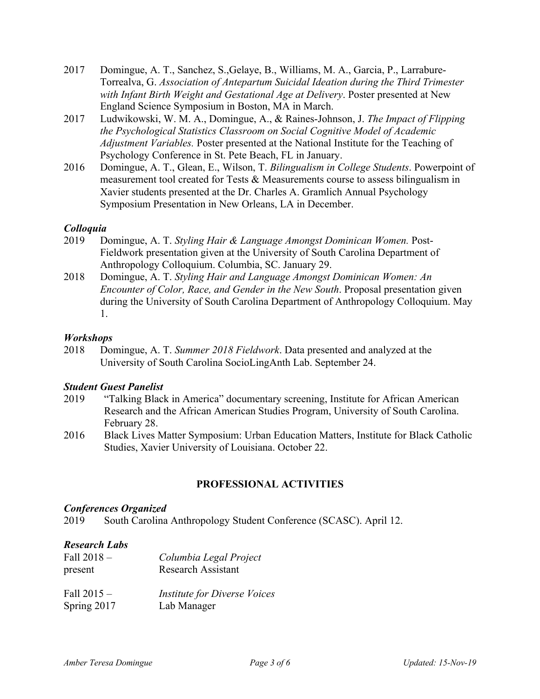- 2017 Domingue, A. T., Sanchez, S.,Gelaye, B., Williams, M. A., Garcia, P., Larrabure-Torrealva, G. *Association of Antepartum Suicidal Ideation during the Third Trimester with Infant Birth Weight and Gestational Age at Delivery*. Poster presented at New England Science Symposium in Boston, MA in March.
- 2017 Ludwikowski, W. M. A., Domingue, A., & Raines-Johnson, J. *The Impact of Flipping the Psychological Statistics Classroom on Social Cognitive Model of Academic Adjustment Variables.* Poster presented at the National Institute for the Teaching of Psychology Conference in St. Pete Beach, FL in January.
- 2016 Domingue, A. T., Glean, E., Wilson, T. *Bilingualism in College Students*. Powerpoint of measurement tool created for Tests & Measurements course to assess bilingualism in Xavier students presented at the Dr. Charles A. Gramlich Annual Psychology Symposium Presentation in New Orleans, LA in December.

# *Colloquia*

- 2019 Domingue, A. T. *Styling Hair & Language Amongst Dominican Women.* Post-Fieldwork presentation given at the University of South Carolina Department of Anthropology Colloquium. Columbia, SC. January 29.
- 2018 Domingue, A. T. *Styling Hair and Language Amongst Dominican Women: An Encounter of Color, Race, and Gender in the New South*. Proposal presentation given during the University of South Carolina Department of Anthropology Colloquium. May 1.

### *Workshops*

2018 Domingue, A. T. *Summer 2018 Fieldwork*. Data presented and analyzed at the University of South Carolina SocioLingAnth Lab. September 24.

### *Student Guest Panelist*

- 2019 "Talking Black in America" documentary screening, Institute for African American Research and the African American Studies Program, University of South Carolina. February 28.
- 2016 Black Lives Matter Symposium: Urban Education Matters, Institute for Black Catholic Studies, Xavier University of Louisiana. October 22.

# **PROFESSIONAL ACTIVITIES**

### *Conferences Organized*

2019 South Carolina Anthropology Student Conference (SCASC). April 12.

### *Research Labs*

| Fall $2018 -$ | Columbia Legal Project              |
|---------------|-------------------------------------|
| present       | <b>Research Assistant</b>           |
| Fall $2015 -$ | <b>Institute for Diverse Voices</b> |
| Spring 2017   | Lab Manager                         |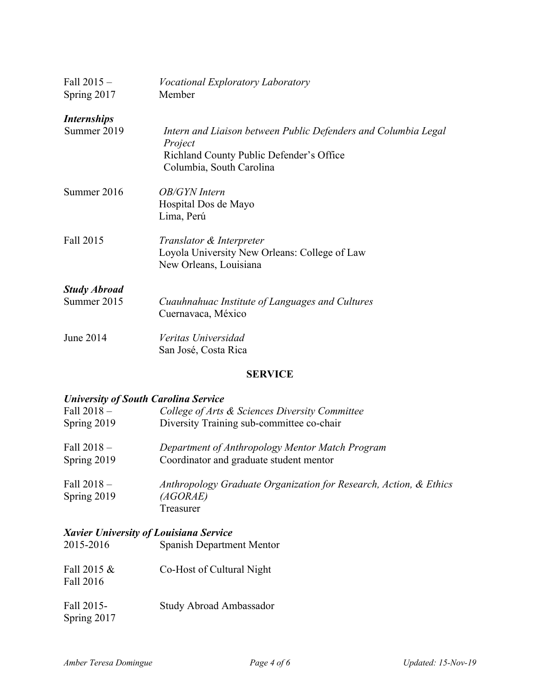| Fall $2015 -$<br>Spring 2017 | <i>Vocational Exploratory Laboratory</i><br>Member                                                                                                |
|------------------------------|---------------------------------------------------------------------------------------------------------------------------------------------------|
| <i><b>Internships</b></i>    |                                                                                                                                                   |
| Summer 2019                  | Intern and Liaison between Public Defenders and Columbia Legal<br>Project<br>Richland County Public Defender's Office<br>Columbia, South Carolina |
| Summer 2016                  | <b>OB/GYN</b> Intern<br>Hospital Dos de Mayo<br>Lima, Perú                                                                                        |
| Fall 2015                    | Translator & Interpreter<br>Loyola University New Orleans: College of Law<br>New Orleans, Louisiana                                               |
| <b>Study Abroad</b>          |                                                                                                                                                   |
| Summer 2015                  | Cuauhnahuac Institute of Languages and Cultures<br>Cuernavaca, México                                                                             |
| June 2014                    | Veritas Universidad<br>San José, Costa Rica                                                                                                       |

# **SERVICE**

# *University of South Carolina Service*

| Fall $2018-$<br>Spring 2019 | College of Arts & Sciences Diversity Committee<br>Diversity Training sub-committee co-chair |
|-----------------------------|---------------------------------------------------------------------------------------------|
| Fall $2018-$                | Department of Anthropology Mentor Match Program                                             |
| Spring 2019                 | Coordinator and graduate student mentor                                                     |
| Fall $2018-$<br>Spring 2019 | Anthropology Graduate Organization for Research, Action, & Ethics<br>(AGORAE)<br>Treasurer  |

### *Xavier University of Louisiana Service*

| 2015-2016                 | <b>Spanish Department Mentor</b> |
|---------------------------|----------------------------------|
| Fall 2015 &<br>Fall 2016  | Co-Host of Cultural Night        |
| Fall 2015-<br>Spring 2017 | Study Abroad Ambassador          |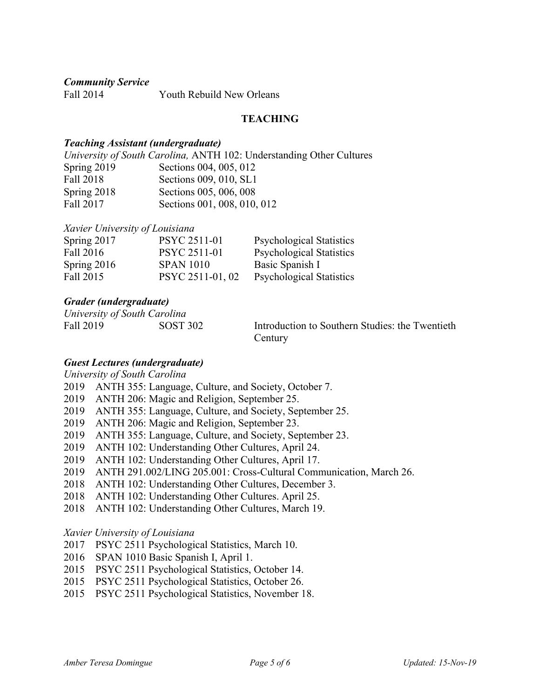*Community Service*

Fall 2014 Youth Rebuild New Orleans

### **TEACHING**

#### *Teaching Assistant (undergraduate)*

*University of South Carolina,* ANTH 102: Understanding Other Cultures Spring 2019 Sections 004, 005, 012 Fall 2018 Sections 009, 010, SL1 Spring 2018 Sections 005, 006, 008 Fall 2017 Sections 001, 008, 010, 012

#### *Xavier University of Louisiana*

| Spring 2017 | PSYC 2511-01        | <b>Psychological Statistics</b> |
|-------------|---------------------|---------------------------------|
| Fall 2016   | <b>PSYC 2511-01</b> | <b>Psychological Statistics</b> |
| Spring 2016 | <b>SPAN 1010</b>    | Basic Spanish I                 |
| Fall 2015   | PSYC 2511-01, 02    | <b>Psychological Statistics</b> |

#### *Grader (undergraduate)*

*University of South Carolina*

Fall 2019 SOST 302 Introduction to Southern Studies: the Twentieth **Century** 

### *Guest Lectures (undergraduate)*

*University of South Carolina*

- 2019 ANTH 355: Language, Culture, and Society, October 7.
- 2019 ANTH 206: Magic and Religion, September 25.
- 2019 ANTH 355: Language, Culture, and Society, September 25.
- 2019 ANTH 206: Magic and Religion, September 23.
- 2019 ANTH 355: Language, Culture, and Society, September 23.
- 2019 ANTH 102: Understanding Other Cultures, April 24.
- 2019 ANTH 102: Understanding Other Cultures, April 17.
- 2019 ANTH 291.002/LING 205.001: Cross-Cultural Communication, March 26.
- 2018 ANTH 102: Understanding Other Cultures, December 3.
- 2018 ANTH 102: Understanding Other Cultures. April 25.
- 2018 ANTH 102: Understanding Other Cultures, March 19.

*Xavier University of Louisiana*

- 2017 PSYC 2511 Psychological Statistics, March 10.
- 2016 SPAN 1010 Basic Spanish I, April 1.
- 2015 PSYC 2511 Psychological Statistics, October 14.
- 2015 PSYC 2511 Psychological Statistics, October 26.
- 2015 PSYC 2511 Psychological Statistics, November 18.